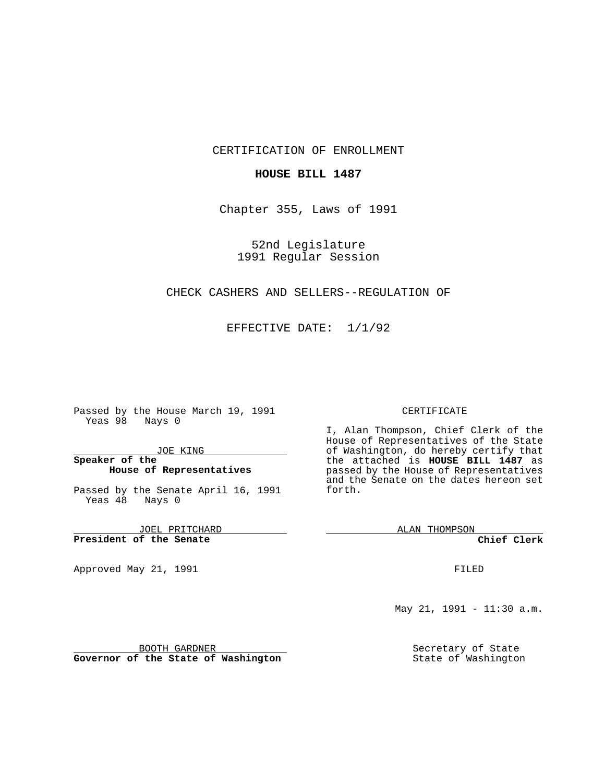### CERTIFICATION OF ENROLLMENT

## **HOUSE BILL 1487**

Chapter 355, Laws of 1991

52nd Legislature 1991 Regular Session

# CHECK CASHERS AND SELLERS--REGULATION OF

EFFECTIVE DATE: 1/1/92

Passed by the House March 19, 1991 Yeas 98 Nays 0

JOE KING

# **Speaker of the House of Representatives**

Passed by the Senate April 16, 1991 Yeas 48 Nays 0

JOEL PRITCHARD **President of the Senate**

Approved May 21, 1991

#### CERTIFICATE

I, Alan Thompson, Chief Clerk of the House of Representatives of the State of Washington, do hereby certify that the attached is **HOUSE BILL 1487** as passed by the House of Representatives and the Senate on the dates hereon set forth.

ALAN THOMPSON

**Chief Clerk**

FILED

May 21, 1991 - 11:30 a.m.

Secretary of State State of Washington

BOOTH GARDNER **Governor of the State of Washington**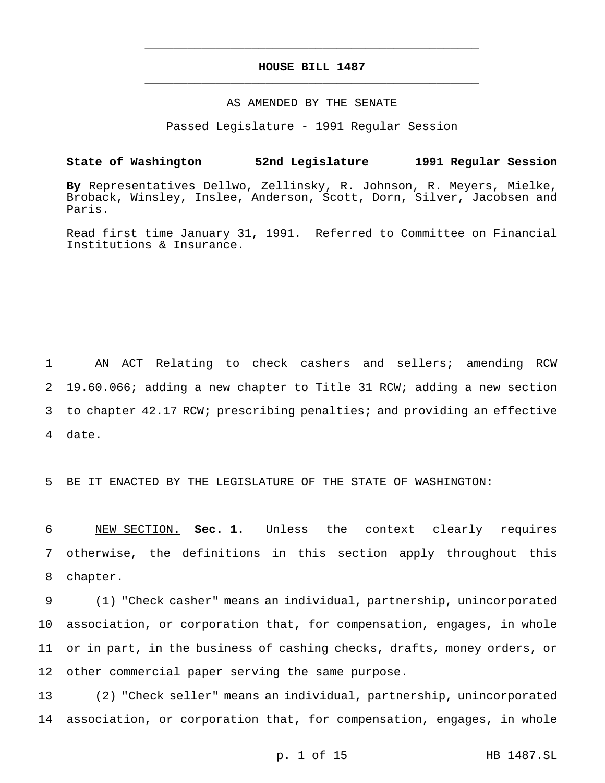# **HOUSE BILL 1487** \_\_\_\_\_\_\_\_\_\_\_\_\_\_\_\_\_\_\_\_\_\_\_\_\_\_\_\_\_\_\_\_\_\_\_\_\_\_\_\_\_\_\_\_\_\_\_

\_\_\_\_\_\_\_\_\_\_\_\_\_\_\_\_\_\_\_\_\_\_\_\_\_\_\_\_\_\_\_\_\_\_\_\_\_\_\_\_\_\_\_\_\_\_\_

# AS AMENDED BY THE SENATE

Passed Legislature - 1991 Regular Session

# **State of Washington 52nd Legislature 1991 Regular Session**

**By** Representatives Dellwo, Zellinsky, R. Johnson, R. Meyers, Mielke, Broback, Winsley, Inslee, Anderson, Scott, Dorn, Silver, Jacobsen and Paris.

Read first time January 31, 1991. Referred to Committee on Financial Institutions & Insurance.

 AN ACT Relating to check cashers and sellers; amending RCW 19.60.066; adding a new chapter to Title 31 RCW; adding a new section to chapter 42.17 RCW; prescribing penalties; and providing an effective 4 date.

5 BE IT ENACTED BY THE LEGISLATURE OF THE STATE OF WASHINGTON:

6 NEW SECTION. **Sec. 1.** Unless the context clearly requires 7 otherwise, the definitions in this section apply throughout this 8 chapter.

 (1) "Check casher" means an individual, partnership, unincorporated association, or corporation that, for compensation, engages, in whole or in part, in the business of cashing checks, drafts, money orders, or other commercial paper serving the same purpose.

13 (2) "Check seller" means an individual, partnership, unincorporated 14 association, or corporation that, for compensation, engages, in whole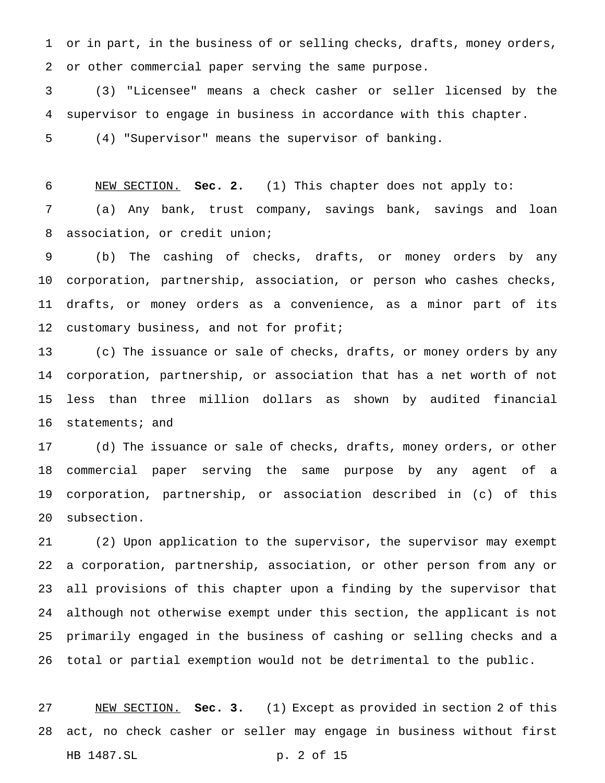or in part, in the business of or selling checks, drafts, money orders, or other commercial paper serving the same purpose.

 (3) "Licensee" means a check casher or seller licensed by the supervisor to engage in business in accordance with this chapter.

(4) "Supervisor" means the supervisor of banking.

 NEW SECTION. **Sec. 2.** (1) This chapter does not apply to: (a) Any bank, trust company, savings bank, savings and loan association, or credit union;

 (b) The cashing of checks, drafts, or money orders by any corporation, partnership, association, or person who cashes checks, drafts, or money orders as a convenience, as a minor part of its 12 customary business, and not for profit;

 (c) The issuance or sale of checks, drafts, or money orders by any corporation, partnership, or association that has a net worth of not less than three million dollars as shown by audited financial statements; and

 (d) The issuance or sale of checks, drafts, money orders, or other commercial paper serving the same purpose by any agent of a corporation, partnership, or association described in (c) of this subsection.

 (2) Upon application to the supervisor, the supervisor may exempt a corporation, partnership, association, or other person from any or all provisions of this chapter upon a finding by the supervisor that although not otherwise exempt under this section, the applicant is not primarily engaged in the business of cashing or selling checks and a total or partial exemption would not be detrimental to the public.

 NEW SECTION. **Sec. 3.** (1) Except as provided in section 2 of this act, no check casher or seller may engage in business without first HB 1487.SL p. 2 of 15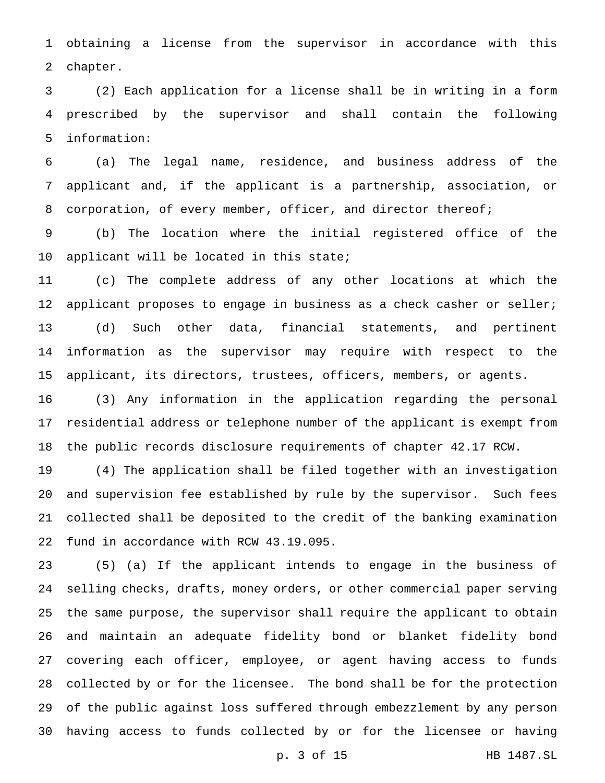obtaining a license from the supervisor in accordance with this chapter.

 (2) Each application for a license shall be in writing in a form prescribed by the supervisor and shall contain the following information:

 (a) The legal name, residence, and business address of the applicant and, if the applicant is a partnership, association, or 8 corporation, of every member, officer, and director thereof;

 (b) The location where the initial registered office of the 10 applicant will be located in this state;

 (c) The complete address of any other locations at which the 12 applicant proposes to engage in business as a check casher or seller; (d) Such other data, financial statements, and pertinent information as the supervisor may require with respect to the applicant, its directors, trustees, officers, members, or agents.

 (3) Any information in the application regarding the personal residential address or telephone number of the applicant is exempt from the public records disclosure requirements of chapter 42.17 RCW.

 (4) The application shall be filed together with an investigation and supervision fee established by rule by the supervisor. Such fees collected shall be deposited to the credit of the banking examination fund in accordance with RCW 43.19.095.

 (5) (a) If the applicant intends to engage in the business of selling checks, drafts, money orders, or other commercial paper serving the same purpose, the supervisor shall require the applicant to obtain and maintain an adequate fidelity bond or blanket fidelity bond covering each officer, employee, or agent having access to funds collected by or for the licensee. The bond shall be for the protection of the public against loss suffered through embezzlement by any person having access to funds collected by or for the licensee or having

p. 3 of 15 HB 1487.SL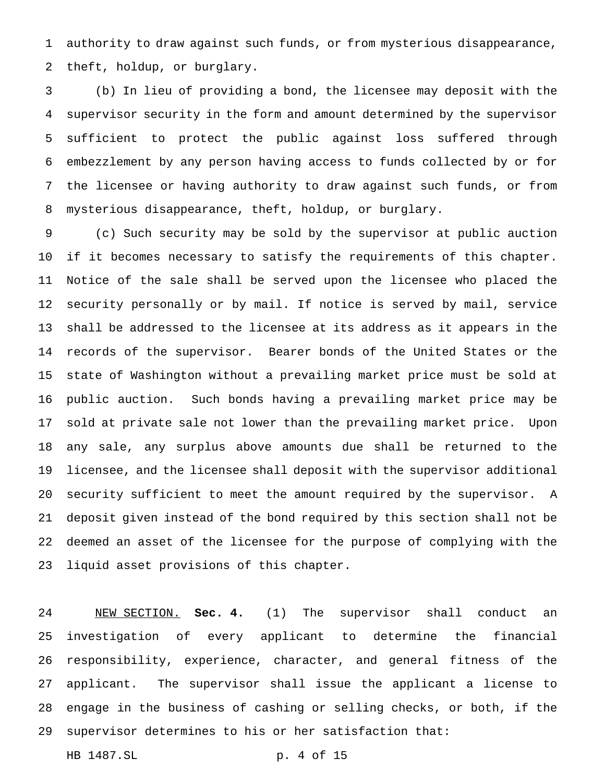authority to draw against such funds, or from mysterious disappearance, theft, holdup, or burglary.

 (b) In lieu of providing a bond, the licensee may deposit with the supervisor security in the form and amount determined by the supervisor sufficient to protect the public against loss suffered through embezzlement by any person having access to funds collected by or for the licensee or having authority to draw against such funds, or from mysterious disappearance, theft, holdup, or burglary.

 (c) Such security may be sold by the supervisor at public auction if it becomes necessary to satisfy the requirements of this chapter. Notice of the sale shall be served upon the licensee who placed the security personally or by mail. If notice is served by mail, service shall be addressed to the licensee at its address as it appears in the records of the supervisor. Bearer bonds of the United States or the state of Washington without a prevailing market price must be sold at public auction. Such bonds having a prevailing market price may be sold at private sale not lower than the prevailing market price. Upon any sale, any surplus above amounts due shall be returned to the licensee, and the licensee shall deposit with the supervisor additional security sufficient to meet the amount required by the supervisor. A deposit given instead of the bond required by this section shall not be deemed an asset of the licensee for the purpose of complying with the liquid asset provisions of this chapter.

 NEW SECTION. **Sec. 4.** (1) The supervisor shall conduct an investigation of every applicant to determine the financial responsibility, experience, character, and general fitness of the applicant. The supervisor shall issue the applicant a license to engage in the business of cashing or selling checks, or both, if the supervisor determines to his or her satisfaction that:

```
HB 1487.SL p. 4 of 15
```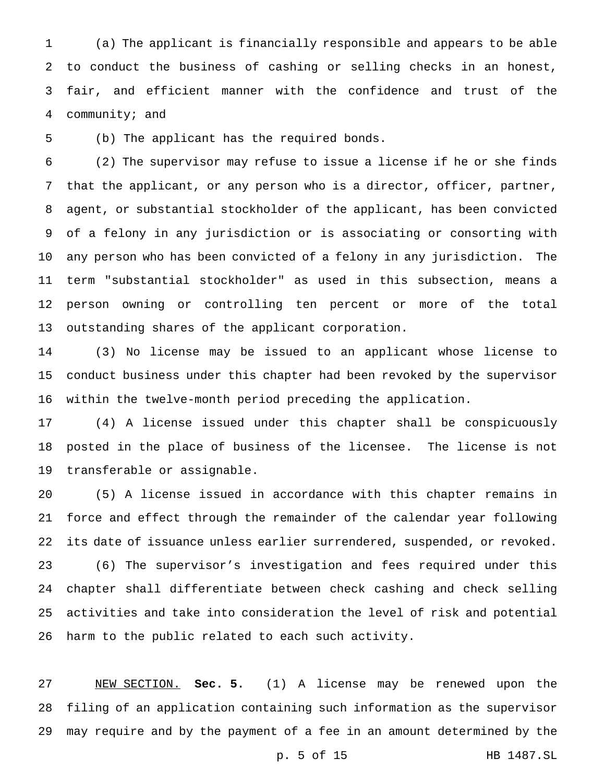(a) The applicant is financially responsible and appears to be able to conduct the business of cashing or selling checks in an honest, fair, and efficient manner with the confidence and trust of the community; and

(b) The applicant has the required bonds.

 (2) The supervisor may refuse to issue a license if he or she finds that the applicant, or any person who is a director, officer, partner, agent, or substantial stockholder of the applicant, has been convicted of a felony in any jurisdiction or is associating or consorting with any person who has been convicted of a felony in any jurisdiction. The term "substantial stockholder" as used in this subsection, means a person owning or controlling ten percent or more of the total outstanding shares of the applicant corporation.

 (3) No license may be issued to an applicant whose license to conduct business under this chapter had been revoked by the supervisor within the twelve-month period preceding the application.

 (4) A license issued under this chapter shall be conspicuously posted in the place of business of the licensee. The license is not transferable or assignable.

 (5) A license issued in accordance with this chapter remains in force and effect through the remainder of the calendar year following its date of issuance unless earlier surrendered, suspended, or revoked. (6) The supervisor's investigation and fees required under this chapter shall differentiate between check cashing and check selling activities and take into consideration the level of risk and potential harm to the public related to each such activity.

 NEW SECTION. **Sec. 5.** (1) A license may be renewed upon the filing of an application containing such information as the supervisor may require and by the payment of a fee in an amount determined by the

p. 5 of 15 HB 1487.SL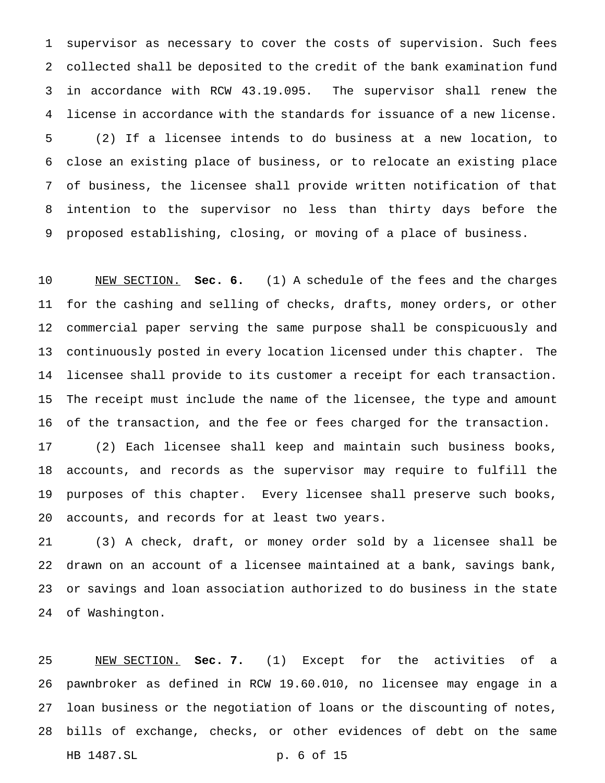supervisor as necessary to cover the costs of supervision. Such fees collected shall be deposited to the credit of the bank examination fund in accordance with RCW 43.19.095. The supervisor shall renew the license in accordance with the standards for issuance of a new license. (2) If a licensee intends to do business at a new location, to close an existing place of business, or to relocate an existing place of business, the licensee shall provide written notification of that intention to the supervisor no less than thirty days before the proposed establishing, closing, or moving of a place of business.

 NEW SECTION. **Sec. 6.** (1) A schedule of the fees and the charges for the cashing and selling of checks, drafts, money orders, or other commercial paper serving the same purpose shall be conspicuously and continuously posted in every location licensed under this chapter. The licensee shall provide to its customer a receipt for each transaction. The receipt must include the name of the licensee, the type and amount of the transaction, and the fee or fees charged for the transaction.

 (2) Each licensee shall keep and maintain such business books, accounts, and records as the supervisor may require to fulfill the purposes of this chapter. Every licensee shall preserve such books, accounts, and records for at least two years.

 (3) A check, draft, or money order sold by a licensee shall be drawn on an account of a licensee maintained at a bank, savings bank, or savings and loan association authorized to do business in the state of Washington.

 NEW SECTION. **Sec. 7.** (1) Except for the activities of a pawnbroker as defined in RCW 19.60.010, no licensee may engage in a loan business or the negotiation of loans or the discounting of notes, bills of exchange, checks, or other evidences of debt on the same HB 1487.SL p. 6 of 15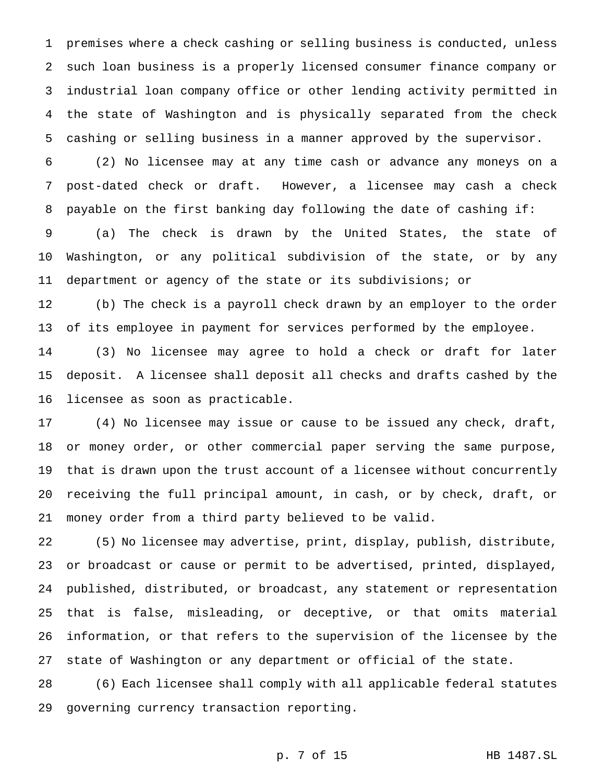premises where a check cashing or selling business is conducted, unless such loan business is a properly licensed consumer finance company or industrial loan company office or other lending activity permitted in the state of Washington and is physically separated from the check cashing or selling business in a manner approved by the supervisor.

 (2) No licensee may at any time cash or advance any moneys on a post-dated check or draft. However, a licensee may cash a check payable on the first banking day following the date of cashing if:

 (a) The check is drawn by the United States, the state of Washington, or any political subdivision of the state, or by any department or agency of the state or its subdivisions; or

 (b) The check is a payroll check drawn by an employer to the order of its employee in payment for services performed by the employee.

 (3) No licensee may agree to hold a check or draft for later deposit. A licensee shall deposit all checks and drafts cashed by the licensee as soon as practicable.

 (4) No licensee may issue or cause to be issued any check, draft, or money order, or other commercial paper serving the same purpose, that is drawn upon the trust account of a licensee without concurrently receiving the full principal amount, in cash, or by check, draft, or money order from a third party believed to be valid.

 (5) No licensee may advertise, print, display, publish, distribute, or broadcast or cause or permit to be advertised, printed, displayed, published, distributed, or broadcast, any statement or representation that is false, misleading, or deceptive, or that omits material information, or that refers to the supervision of the licensee by the state of Washington or any department or official of the state.

 (6) Each licensee shall comply with all applicable federal statutes governing currency transaction reporting.

p. 7 of 15 HB 1487.SL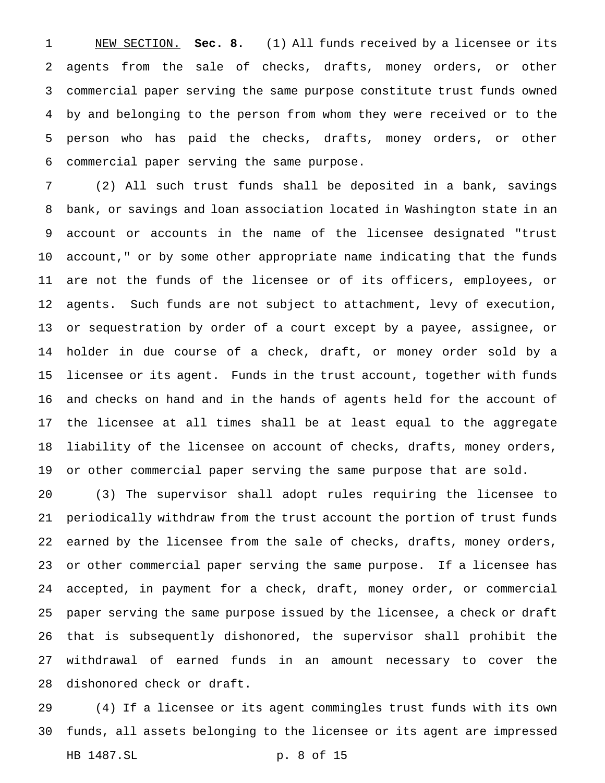NEW SECTION. **Sec. 8.** (1) All funds received by a licensee or its agents from the sale of checks, drafts, money orders, or other commercial paper serving the same purpose constitute trust funds owned by and belonging to the person from whom they were received or to the person who has paid the checks, drafts, money orders, or other commercial paper serving the same purpose.

 (2) All such trust funds shall be deposited in a bank, savings bank, or savings and loan association located in Washington state in an account or accounts in the name of the licensee designated "trust account," or by some other appropriate name indicating that the funds are not the funds of the licensee or of its officers, employees, or agents. Such funds are not subject to attachment, levy of execution, or sequestration by order of a court except by a payee, assignee, or holder in due course of a check, draft, or money order sold by a licensee or its agent. Funds in the trust account, together with funds and checks on hand and in the hands of agents held for the account of the licensee at all times shall be at least equal to the aggregate liability of the licensee on account of checks, drafts, money orders, or other commercial paper serving the same purpose that are sold.

 (3) The supervisor shall adopt rules requiring the licensee to periodically withdraw from the trust account the portion of trust funds earned by the licensee from the sale of checks, drafts, money orders, or other commercial paper serving the same purpose. If a licensee has accepted, in payment for a check, draft, money order, or commercial paper serving the same purpose issued by the licensee, a check or draft that is subsequently dishonored, the supervisor shall prohibit the withdrawal of earned funds in an amount necessary to cover the dishonored check or draft.

 (4) If a licensee or its agent commingles trust funds with its own funds, all assets belonging to the licensee or its agent are impressed HB 1487.SL p. 8 of 15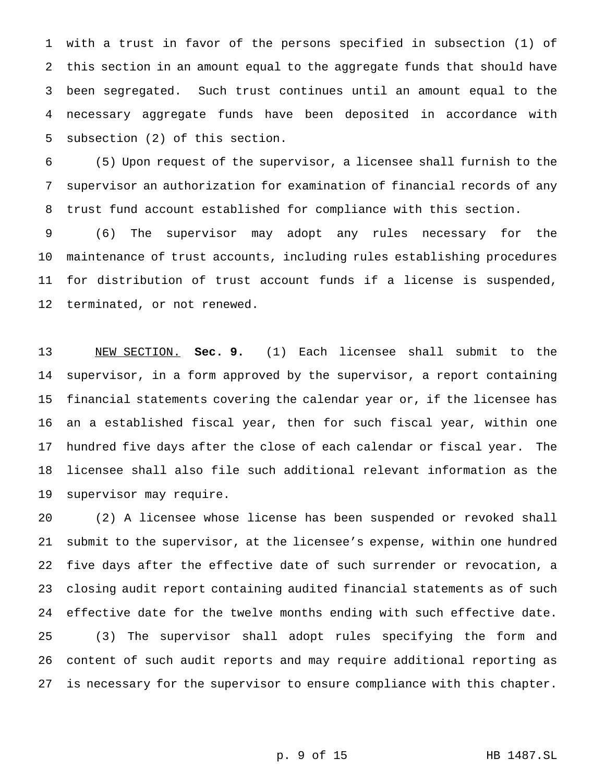with a trust in favor of the persons specified in subsection (1) of this section in an amount equal to the aggregate funds that should have been segregated. Such trust continues until an amount equal to the necessary aggregate funds have been deposited in accordance with subsection (2) of this section.

 (5) Upon request of the supervisor, a licensee shall furnish to the supervisor an authorization for examination of financial records of any trust fund account established for compliance with this section.

 (6) The supervisor may adopt any rules necessary for the maintenance of trust accounts, including rules establishing procedures for distribution of trust account funds if a license is suspended, terminated, or not renewed.

 NEW SECTION. **Sec. 9.** (1) Each licensee shall submit to the supervisor, in a form approved by the supervisor, a report containing financial statements covering the calendar year or, if the licensee has an a established fiscal year, then for such fiscal year, within one hundred five days after the close of each calendar or fiscal year. The licensee shall also file such additional relevant information as the supervisor may require.

 (2) A licensee whose license has been suspended or revoked shall submit to the supervisor, at the licensee's expense, within one hundred five days after the effective date of such surrender or revocation, a closing audit report containing audited financial statements as of such effective date for the twelve months ending with such effective date. (3) The supervisor shall adopt rules specifying the form and content of such audit reports and may require additional reporting as is necessary for the supervisor to ensure compliance with this chapter.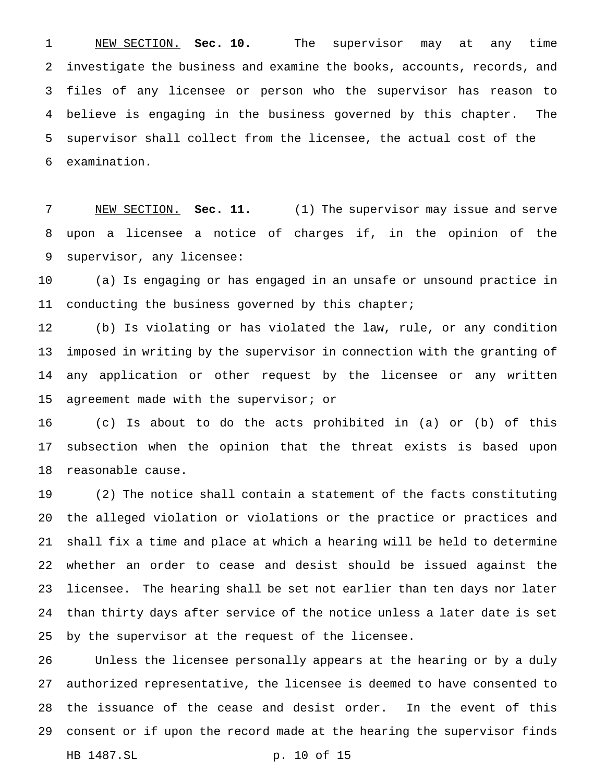NEW SECTION. **Sec. 10.** The supervisor may at any time investigate the business and examine the books, accounts, records, and files of any licensee or person who the supervisor has reason to believe is engaging in the business governed by this chapter. The supervisor shall collect from the licensee, the actual cost of the examination.

 NEW SECTION. **Sec. 11.** (1) The supervisor may issue and serve upon a licensee a notice of charges if, in the opinion of the supervisor, any licensee:

 (a) Is engaging or has engaged in an unsafe or unsound practice in conducting the business governed by this chapter;

 (b) Is violating or has violated the law, rule, or any condition imposed in writing by the supervisor in connection with the granting of any application or other request by the licensee or any written agreement made with the supervisor; or

 (c) Is about to do the acts prohibited in (a) or (b) of this subsection when the opinion that the threat exists is based upon reasonable cause.

 (2) The notice shall contain a statement of the facts constituting the alleged violation or violations or the practice or practices and shall fix a time and place at which a hearing will be held to determine whether an order to cease and desist should be issued against the licensee. The hearing shall be set not earlier than ten days nor later than thirty days after service of the notice unless a later date is set by the supervisor at the request of the licensee.

 Unless the licensee personally appears at the hearing or by a duly authorized representative, the licensee is deemed to have consented to the issuance of the cease and desist order. In the event of this consent or if upon the record made at the hearing the supervisor finds HB 1487.SL p. 10 of 15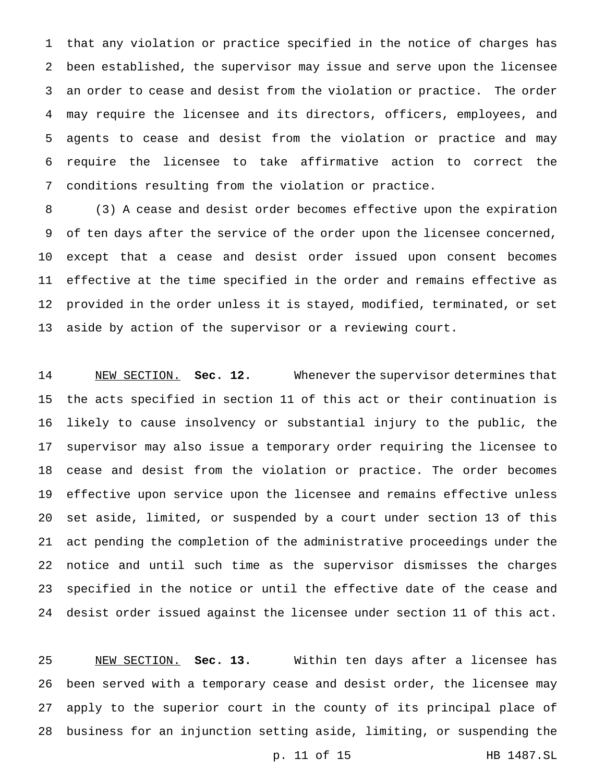that any violation or practice specified in the notice of charges has been established, the supervisor may issue and serve upon the licensee an order to cease and desist from the violation or practice. The order may require the licensee and its directors, officers, employees, and agents to cease and desist from the violation or practice and may require the licensee to take affirmative action to correct the conditions resulting from the violation or practice.

 (3) A cease and desist order becomes effective upon the expiration of ten days after the service of the order upon the licensee concerned, except that a cease and desist order issued upon consent becomes effective at the time specified in the order and remains effective as provided in the order unless it is stayed, modified, terminated, or set aside by action of the supervisor or a reviewing court.

 NEW SECTION. **Sec. 12.** Whenever the supervisor determines that the acts specified in section 11 of this act or their continuation is likely to cause insolvency or substantial injury to the public, the supervisor may also issue a temporary order requiring the licensee to cease and desist from the violation or practice. The order becomes effective upon service upon the licensee and remains effective unless set aside, limited, or suspended by a court under section 13 of this act pending the completion of the administrative proceedings under the notice and until such time as the supervisor dismisses the charges specified in the notice or until the effective date of the cease and desist order issued against the licensee under section 11 of this act.

 NEW SECTION. **Sec. 13.** Within ten days after a licensee has been served with a temporary cease and desist order, the licensee may apply to the superior court in the county of its principal place of business for an injunction setting aside, limiting, or suspending the

p. 11 of 15 HB 1487.SL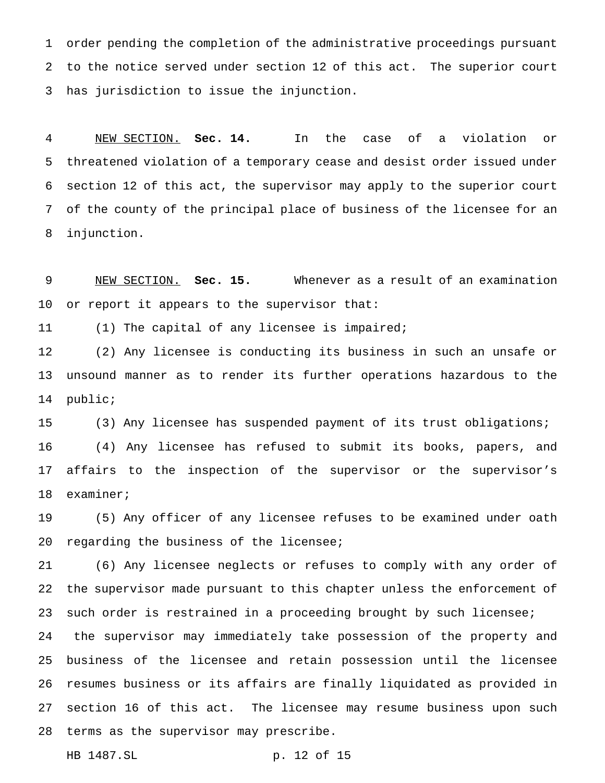order pending the completion of the administrative proceedings pursuant to the notice served under section 12 of this act. The superior court has jurisdiction to issue the injunction.

 NEW SECTION. **Sec. 14.** In the case of a violation or threatened violation of a temporary cease and desist order issued under section 12 of this act, the supervisor may apply to the superior court of the county of the principal place of business of the licensee for an injunction.

 NEW SECTION. **Sec. 15.** Whenever as a result of an examination or report it appears to the supervisor that:

(1) The capital of any licensee is impaired;

 (2) Any licensee is conducting its business in such an unsafe or unsound manner as to render its further operations hazardous to the public;

 (3) Any licensee has suspended payment of its trust obligations; (4) Any licensee has refused to submit its books, papers, and affairs to the inspection of the supervisor or the supervisor's examiner;

 (5) Any officer of any licensee refuses to be examined under oath regarding the business of the licensee;

 (6) Any licensee neglects or refuses to comply with any order of the supervisor made pursuant to this chapter unless the enforcement of such order is restrained in a proceeding brought by such licensee;

 the supervisor may immediately take possession of the property and business of the licensee and retain possession until the licensee resumes business or its affairs are finally liquidated as provided in section 16 of this act. The licensee may resume business upon such terms as the supervisor may prescribe.

HB 1487.SL p. 12 of 15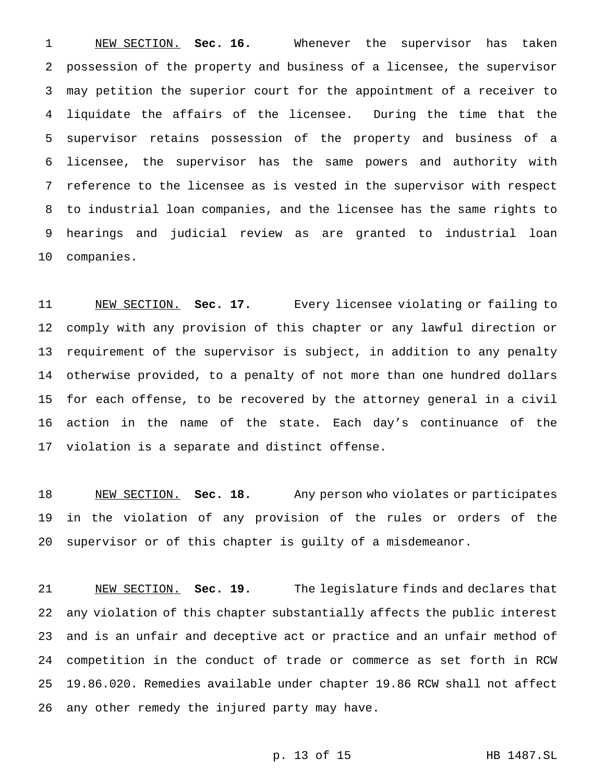NEW SECTION. **Sec. 16.** Whenever the supervisor has taken possession of the property and business of a licensee, the supervisor may petition the superior court for the appointment of a receiver to liquidate the affairs of the licensee. During the time that the supervisor retains possession of the property and business of a licensee, the supervisor has the same powers and authority with reference to the licensee as is vested in the supervisor with respect to industrial loan companies, and the licensee has the same rights to hearings and judicial review as are granted to industrial loan companies.

 NEW SECTION. **Sec. 17.** Every licensee violating or failing to comply with any provision of this chapter or any lawful direction or requirement of the supervisor is subject, in addition to any penalty otherwise provided, to a penalty of not more than one hundred dollars for each offense, to be recovered by the attorney general in a civil action in the name of the state. Each day's continuance of the violation is a separate and distinct offense.

 NEW SECTION. **Sec. 18.** Any person who violates or participates in the violation of any provision of the rules or orders of the supervisor or of this chapter is guilty of a misdemeanor.

 NEW SECTION. **Sec. 19.** The legislature finds and declares that any violation of this chapter substantially affects the public interest and is an unfair and deceptive act or practice and an unfair method of competition in the conduct of trade or commerce as set forth in RCW 19.86.020. Remedies available under chapter 19.86 RCW shall not affect any other remedy the injured party may have.

```
p. 13 of 15 HB 1487.SL
```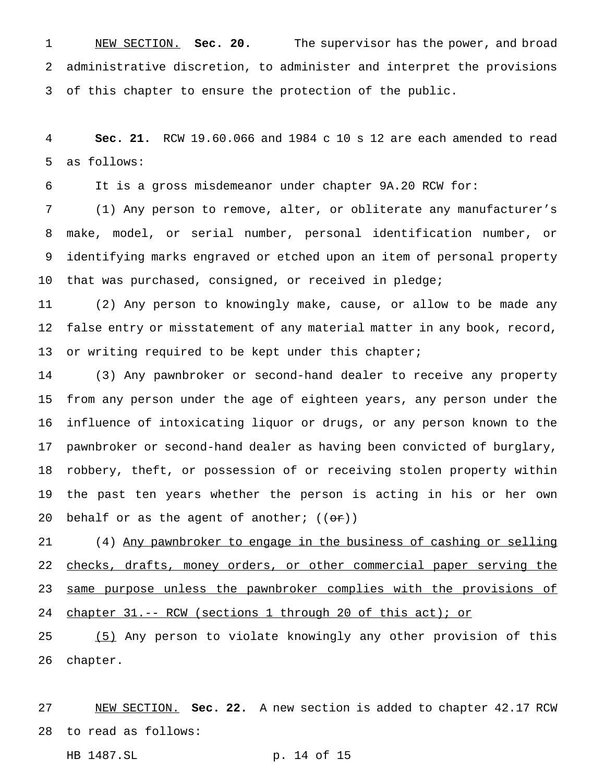NEW SECTION. **Sec. 20.** The supervisor has the power, and broad administrative discretion, to administer and interpret the provisions of this chapter to ensure the protection of the public.

 **Sec. 21.** RCW 19.60.066 and 1984 c 10 s 12 are each amended to read as follows:

It is a gross misdemeanor under chapter 9A.20 RCW for:

 (1) Any person to remove, alter, or obliterate any manufacturer's make, model, or serial number, personal identification number, or identifying marks engraved or etched upon an item of personal property that was purchased, consigned, or received in pledge;

 (2) Any person to knowingly make, cause, or allow to be made any false entry or misstatement of any material matter in any book, record, or writing required to be kept under this chapter;

 (3) Any pawnbroker or second-hand dealer to receive any property from any person under the age of eighteen years, any person under the influence of intoxicating liquor or drugs, or any person known to the pawnbroker or second-hand dealer as having been convicted of burglary, robbery, theft, or possession of or receiving stolen property within the past ten years whether the person is acting in his or her own 20 behalf or as the agent of another;  $((\theta \cdot \mathbf{r}))$ 

 (4) Any pawnbroker to engage in the business of cashing or selling 22 checks, drafts, money orders, or other commercial paper serving the 23 same purpose unless the pawnbroker complies with the provisions of chapter 31.-- RCW (sections 1 through 20 of this act); or

 (5) Any person to violate knowingly any other provision of this chapter.

 NEW SECTION. **Sec. 22.** A new section is added to chapter 42.17 RCW to read as follows:

HB 1487.SL p. 14 of 15